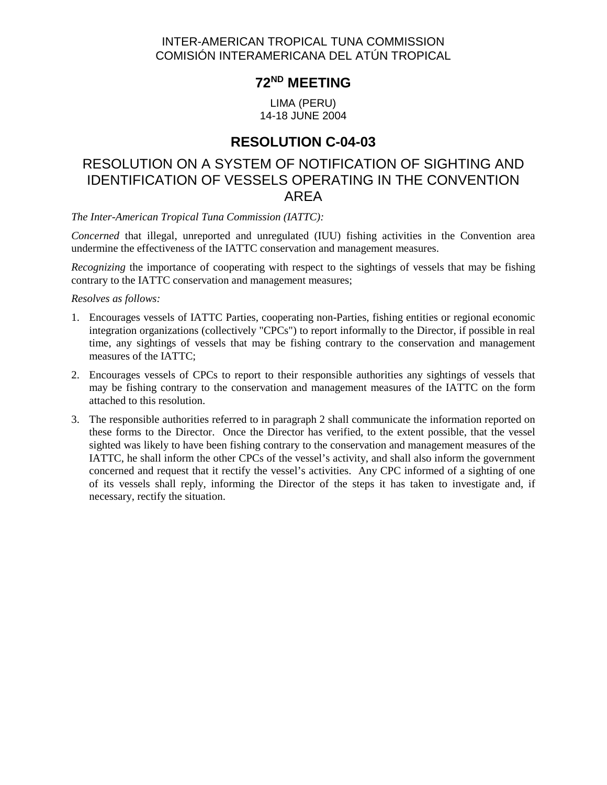#### INTER-AMERICAN TROPICAL TUNA COMMISSION COMISIÓN INTERAMERICANA DEL ATÚN TROPICAL

# **72ND MEETING**

LIMA (PERU) 14-18 JUNE 2004

## **RESOLUTION C-04-03**

## RESOLUTION ON A SYSTEM OF NOTIFICATION OF SIGHTING AND IDENTIFICATION OF VESSELS OPERATING IN THE CONVENTION AREA

*The Inter-American Tropical Tuna Commission (IATTC):*

*Concerned* that illegal, unreported and unregulated (IUU) fishing activities in the Convention area undermine the effectiveness of the IATTC conservation and management measures.

*Recognizing* the importance of cooperating with respect to the sightings of vessels that may be fishing contrary to the IATTC conservation and management measures;

*Resolves as follows:*

- 1. Encourages vessels of IATTC Parties, cooperating non-Parties, fishing entities or regional economic integration organizations (collectively "CPCs") to report informally to the Director, if possible in real time, any sightings of vessels that may be fishing contrary to the conservation and management measures of the IATTC;
- 2. Encourages vessels of CPCs to report to their responsible authorities any sightings of vessels that may be fishing contrary to the conservation and management measures of the IATTC on the form attached to this resolution.
- 3. The responsible authorities referred to in paragraph 2 shall communicate the information reported on these forms to the Director. Once the Director has verified, to the extent possible, that the vessel sighted was likely to have been fishing contrary to the conservation and management measures of the IATTC, he shall inform the other CPCs of the vessel's activity, and shall also inform the government concerned and request that it rectify the vessel's activities. Any CPC informed of a sighting of one of its vessels shall reply, informing the Director of the steps it has taken to investigate and, if necessary, rectify the situation.